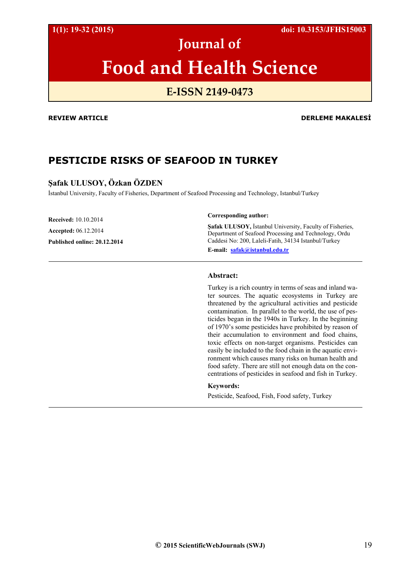**1(1): 19-32 (2015) doi: 10.3153/JFHS15003**

# **Journal of**

# **Food and Health Science**

# **E‐ISSN 2149‐0473**

#### **REVIEW ARTICLE DERLEME MAKALESİ**

# **PESTICIDE RISKS OF SEAFOOD IN TURKEY**

#### **Şafak ULUSOY, Özkan ÖZDEN**

İstanbul University, Faculty of Fisheries, Department of Seafood Processing and Technology, Istanbul/Turkey

**Received:** 10.10.2014 **Accepted:** 06.12.2014 **Published online: 20.12.2014** 

#### **Corresponding author:**

**Şafak ULUSOY,** İstanbul University, Faculty of Fisheries, Department of Seafood Processing and Technology, Ordu Caddesi No: 200, Laleli-Fatih, 34134 Istanbul/Turkey

**E-mail: safak@istanbul.edu.tr**

#### **Abstract:**

Turkey is a rich country in terms of seas and inland water sources. The aquatic ecosystems in Turkey are threatened by the agricultural activities and pesticide contamination. In parallel to the world, the use of pesticides began in the 1940s in Turkey. In the beginning of 1970's some pesticides have prohibited by reason of their accumulation to environment and food chains, toxic effects on non-target organisms. Pesticides can easily be included to the food chain in the aquatic environment which causes many risks on human health and food safety. There are still not enough data on the concentrations of pesticides in seafood and fish in Turkey.

#### **Keywords:**

Pesticide, Seafood, Fish, Food safety, Turkey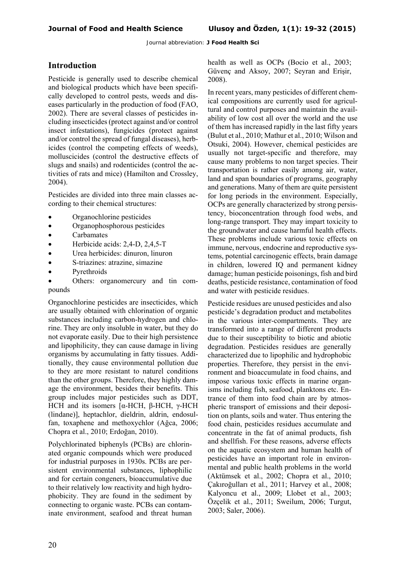### **Introduction**

Pesticide is generally used to describe chemical and biological products which have been specifically developed to control pests, weeds and diseases particularly in the production of food (FAO, 2002). There are several classes of pesticides including insecticides (protect against and/or control insect infestations), fungicides (protect against and/or control the spread of fungal diseases), herbicides (control the competing effects of weeds), molluscicides (control the destructive effects of slugs and snails) and rodenticides (control the activities of rats and mice) (Hamilton and Crossley, 2004).

Pesticides are divided into three main classes according to their chemical structures:

- Organochlorine pesticides
- Organophosphorous pesticides
- Carbamates
- Herbicide acids: 2,4-D, 2,4,5-T
- Urea herbicides: dinuron, linuron
- S-triazines: atrazine, simazine
- Pyrethroids

 Others: organomercury and tin compounds

Organochlorine pesticides are insecticides, which are usually obtained with chlorination of organic substances including carbon-hydrogen and chlorine. They are only insoluble in water, but they do not evaporate easily. Due to their high persistence and lipophilicity, they can cause damage in living organisms by accumulating in fatty tissues. Additionally, they cause environmental pollution due to they are more resistant to naturel conditions than the other groups. Therefore, they highly damage the environment, besides their benefits. This group includes major pesticides such as DDT, HCH and its isomers [α-HCH, β-HCH, γ-HCH (lindane)], heptachlor, dieldrin, aldrin, endosulfan, toxaphene and methoxychlor (Ağca, 2006; Chopra et al., 2010; Erdoğan, 2010).

Polychlorinated biphenyls (PCBs) are chlorinated organic compounds which were produced for industrial purposes in 1930s. PCBs are persistent environmental substances, liphophilic and for certain congeners, bioaccumulative due to their relatively low reactivity and high hydrophobicity. They are found in the sediment by connecting to organic waste. PCBs can contaminate environment, seafood and threat human health as well as OCPs (Bocio et al., 2003; Güvenç and Aksoy, 2007; Seyran and Erişir, 2008).

In recent years, many pesticides of different chemical compositions are currently used for agricultural and control purposes and maintain the availability of low cost all over the world and the use of them has increased rapidly in the last fifty years (Bulut et al., 2010; Mathur et al., 2010; Wilson and Otsuki, 2004). However, chemical pesticides are usually not target-specific and therefore, may cause many problems to non target species. Their transportation is rather easily among air, water, land and span boundaries of programs, geography and generations. Many of them are quite persistent for long periods in the environment. Especially, OCPs are generally characterized by strong persistency, bioconcentration through food webs, and long-range transport. They may impart toxicity to the groundwater and cause harmful health effects. These problems include various toxic effects on immune, nervous, endocrine and reproductive systems, potential carcinogenic effects, brain damage in children, lowered IQ and permanent kidney damage; human pesticide poisonings, fish and bird deaths, pesticide resistance, contamination of food and water with pesticide residues.

Pesticide residues are unused pesticides and also pesticide's degradation product and metabolites in the various inter-compartments. They are transformed into a range of different products due to their susceptibility to biotic and abiotic degradation. Pesticides residues are generally characterized due to lipophilic and hydrophobic properties. Therefore, they persist in the environment and bioaccumulate in food chains, and impose various toxic effects in marine organisms including fish, seafood, planktons etc. Entrance of them into food chain are by atmospheric transport of emissions and their deposition on plants, soils and water. Thus entering the food chain, pesticides residues accumulate and concentrate in the fat of animal products, fish and shellfish. For these reasons, adverse effects on the aquatic ecosystem and human health of pesticides have an important role in environmental and public health problems in the world (Aktümsek et al., 2002; Chopra et al., 2010; Çakıroğulları et al., 2011; Harvey et al., 2008; Kalyoncu et al., 2009; Llobet et al., 2003; Özçelik et al., 2011; Sweilum, 2006; Turgut, 2003; Saler, 2006).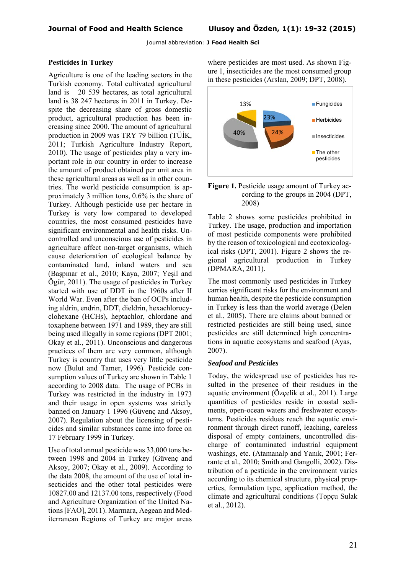#### **Pesticides in Turkey**

Agriculture is one of the leading sectors in the Turkish economy. Total cultivated agricultural land is 20 539 hectares, as total agricultural land is 38 247 hectares in 2011 in Turkey. Despite the decreasing share of gross domestic product, agricultural production has been increasing since 2000. The amount of agricultural production in 2009 was TRY 79 billion (TÜİK, 2011; Turkish Agriculture Industry Report, 2010). The usage of pesticides play a very important role in our country in order to increase the amount of product obtained per unit area in these agricultural areas as well as in other countries. The world pesticide consumption is approximately 3 million tons, 0.6% is the share of Turkey. Although pesticide use per hectare in Turkey is very low compared to developed countries, the most consumed pesticides have significant environmental and health risks. Uncontrolled and unconscious use of pesticides in agriculture affect non-target organisms, which cause deterioration of ecological balance by contaminated land, inland waters and sea (Başpınar et al., 2010; Kaya, 2007; Yeşil and Ögür, 2011). The usage of pesticides in Turkey started with use of DDT in the 1960s after II World War. Even after the ban of OCPs including aldrin, endrin, DDT, dieldrin, hexachlorocyclohexane (HCHs), heptachlor, chlordane and toxaphene between 1971 and 1989, they are still being used illegally in some regions (DPT 2001; Okay et al., 2011). Unconscious and dangerous practices of them are very common, although Turkey is country that uses very little pesticide now (Bulut and Tamer, 1996). Pesticide consumption values of Turkey are shown in Table 1 according to 2008 data. The usage of PCBs in Turkey was restricted in the industry in 1973 and their usage in open systems was strictly banned on January 1 1996 (Güvenç and Aksoy, 2007). Regulation about the licensing of pesticides and similar substances came into force on 17 February 1999 in Turkey.

Use of total annual pesticide was 33,000 tons between 1998 and 2004 in Turkey (Güvenç and Aksoy, 2007; Okay et al., 2009). According to the data 2008, the amount of the use of total insecticides and the other total pesticides were 10827.00 and 12137.00 tons, respectively (Food and Agriculture Organization of the United Nations [FAO], 2011). Marmara, Aegean and Mediterranean Regions of Turkey are major areas where pesticides are most used. As shown Figure 1, insecticides are the most consumed group in these pesticides (Arslan, 2009; DPT, 2008).



#### **Figure 1.** Pesticide usage amount of Turkey according to the groups in 2004 (DPT, 2008)

Table 2 shows some pesticides prohibited in Turkey. The usage, production and importation of most pesticide components were prohibited by the reason of toxicological and ecotoxicological risks (DPT, 2001). Figure 2 shows the regional agricultural production in Turkey (DPMARA, 2011).

The most commonly used pesticides in Turkey carries significant risks for the environment and human health, despite the pesticide consumption in Turkey is less than the world average (Delen et al., 2005). There are claims about banned or restricted pesticides are still being used, since pesticides are still determined high concentrations in aquatic ecosystems and seafood (Ayas, 2007).

#### *Seafood and Pesticides*

Today, the widespread use of pesticides has resulted in the presence of their residues in the aquatic environment (Özçelik et al., 2011). Large quantities of pesticides reside in coastal sediments, open-ocean waters and freshwater ecosystems. Pesticides residues reach the aquatic environment through direct runoff, leaching, careless disposal of empty containers, uncontrolled discharge of contaminated industrial equipment washings, etc. (Atamanalp and Yanık, 2001; Ferrante et al., 2010; Smith and Gangolli, 2002). Distribution of a pesticide in the environment varies according to its chemical structure, physical properties, formulation type, application method, the climate and agricultural conditions (Topçu Sulak et al., 2012).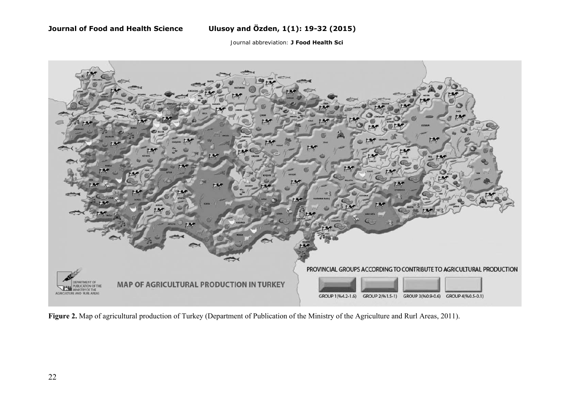Journal abbreviation: **J Food Health Sci** 



**Figure 2.** Map of agricultural production of Turkey (Department of Publication of the Ministry of the Agriculture and Rurl Areas, 2011).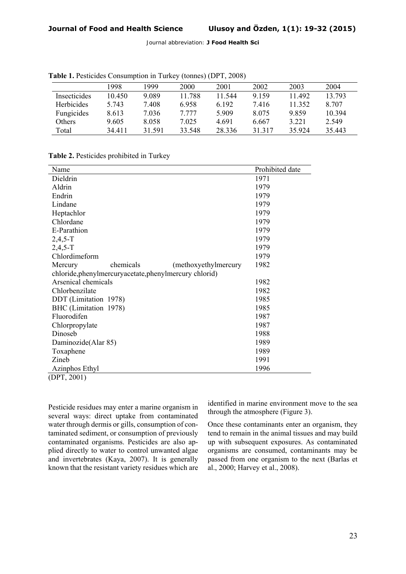|               | 1998.  | 999     | 2000   | 2001    | 2002    | 2003    | 2004   |  |  |  |
|---------------|--------|---------|--------|---------|---------|---------|--------|--|--|--|
| Insecticides  | 10.450 | 9 0 8 9 | 11.788 | 11 544  | 9 1 5 9 | 11 492  | 13 793 |  |  |  |
| Herbicides    | 5.743  | 7408    | 6958   | 6 1 9 2 | 7416    | 11 352  | 8 707  |  |  |  |
| Fungicides    | 8.613  | 7.036   | 7 777  | 5909    | 8 0 7 5 | 9859    | 10.394 |  |  |  |
| <b>Others</b> | 9.605  | 8058    | 7.025  | 4 691   | 6.667   | 3.221   | 2.549  |  |  |  |
| Total         | 34.411 | 31.591  | 33.548 | 28.336  | 31 317  | 35 9 24 | 35.443 |  |  |  |

**Table 1.** Pesticides Consumption in Turkey (tonnes) (DPT, 2008)

#### **Table 2.** Pesticides prohibited in Turkey

| Name                  |           |                                                         | Prohibited date |
|-----------------------|-----------|---------------------------------------------------------|-----------------|
| Dieldrin              |           |                                                         | 1971            |
| Aldrin                |           |                                                         | 1979            |
| Endrin                |           |                                                         | 1979            |
| Lindane               |           |                                                         | 1979            |
| Heptachlor            |           |                                                         | 1979            |
| Chlordane             |           |                                                         | 1979            |
| E-Parathion           |           |                                                         | 1979            |
| $2,4,5-T$             |           |                                                         | 1979            |
| $2,4,5-T$             |           |                                                         | 1979            |
| Chlordimeform         |           |                                                         | 1979            |
| Mercury               | chemicals | (methoxyethylmercury)                                   | 1982            |
|                       |           | chloride, phenylmercury acetate, phenylmercury chlorid) |                 |
| Arsenical chemicals   |           |                                                         | 1982            |
| Chlorbenzilate        |           |                                                         | 1982            |
| DDT (Limitation 1978) |           |                                                         | 1985            |
| BHC (Limitation 1978) |           |                                                         | 1985            |
| Fluorodifen           |           |                                                         | 1987            |
| Chlorpropylate        |           |                                                         | 1987            |
| Dinoseb               |           |                                                         | 1988            |
| Daminozide(Alar 85)   |           |                                                         | 1989            |
| Toxaphene             |           |                                                         | 1989            |
| Zineb                 |           |                                                         | 1991            |
| Azinphos Ethyl        |           |                                                         | 1996            |
| (DPT, 2001)           |           |                                                         |                 |

Pesticide residues may enter a marine organism in several ways: direct uptake from contaminated water through dermis or gills, consumption of contaminated sediment, or consumption of previously contaminated organisms. Pesticides are also applied directly to water to control unwanted algae and invertebrates (Kaya, 2007). It is generally known that the resistant variety residues which are identified in marine environment move to the sea through the atmosphere (Figure 3).

Once these contaminants enter an organism, they tend to remain in the animal tissues and may build up with subsequent exposures. As contaminated organisms are consumed, contaminants may be passed from one organism to the next (Barlas et al., 2000; Harvey et al., 2008).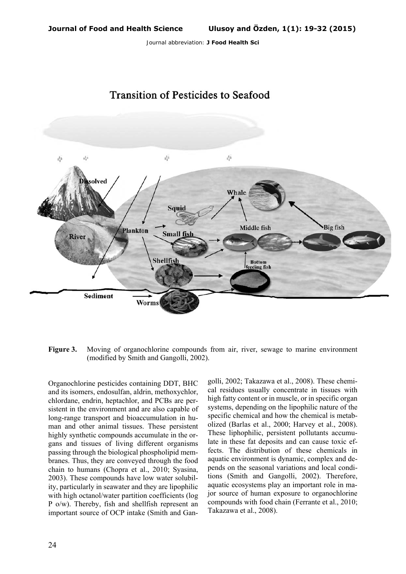

## **Transition of Pesticides to Seafood**

**Figure 3.** Moving of organochlorine compounds from air, river, sewage to marine environment (modified by Smith and Gangolli, 2002).

Organochlorine pesticides containing DDT, BHC and its isomers, endosulfan, aldrin, methoxychlor, chlordane, endrin, heptachlor, and PCBs are persistent in the environment and are also capable of long-range transport and bioaccumulation in human and other animal tissues. These persistent highly synthetic compounds accumulate in the organs and tissues of living different organisms passing through the biological phospholipid membranes. Thus, they are conveyed through the food chain to humans (Chopra et al., 2010; Syasina, 2003). These compounds have low water solubility, particularly in seawater and they are lipophilic with high octanol/water partition coefficients (log P o/w). Thereby, fish and shellfish represent an important source of OCP intake (Smith and Gangolli, 2002; Takazawa et al., 2008). These chemical residues usually concentrate in tissues with high fatty content or in muscle, or in specific organ systems, depending on the lipophilic nature of the specific chemical and how the chemical is metabolized (Barlas et al., 2000; Harvey et al., 2008). These liphophilic, persistent pollutants accumulate in these fat deposits and can cause toxic effects. The distribution of these chemicals in aquatic environment is dynamic, complex and depends on the seasonal variations and local conditions (Smith and Gangolli, 2002). Therefore, aquatic ecosystems play an important role in major source of human exposure to organochlorine compounds with food chain (Ferrante et al., 2010; Takazawa et al., 2008).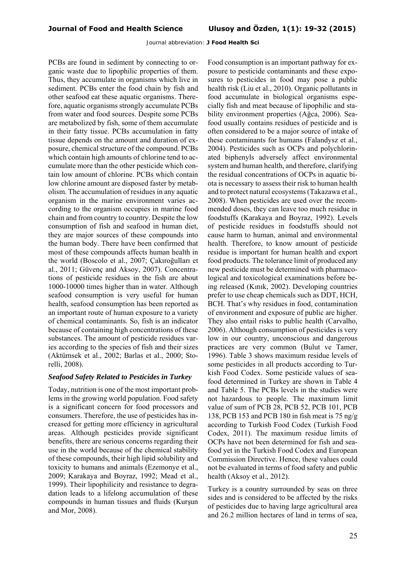PCBs are found in sediment by connecting to organic waste due to lipophilic properties of them. Thus, they accumulate in organisms which live in sediment. PCBs enter the food chain by fish and other seafood eat these aquatic organisms. Therefore, aquatic organisms strongly accumulate PCBs from water and food sources. Despite some PCBs are metabolized by fish, some of them accumulate in their fatty tissue. PCBs accumulation in fatty tissue depends on the amount and duration of exposure, chemical structure of the compound. PCBs which contain high amounts of chlorine tend to accumulate more than the other pesticide which contain low amount of chlorine. PCBs which contain low chlorine amount are disposed faster by metabolism. The accumulation of residues in any aquatic organism in the marine environment varies according to the organism occupies in marine food chain and from country to country. Despite the low consumption of fish and seafood in human diet, they are major sources of these compounds into the human body. There have been confirmed that most of these compounds affects human health in the world (Boscolo et al., 2007; Çakıroğulları et al., 2011; Güvenç and Aksoy, 2007). Concentrations of pesticide residues in the fish are about 1000-10000 times higher than in water. Although seafood consumption is very useful for human health, seafood consumption has been reported as an important route of human exposure to a variety of chemical contaminants. So, fish is an indicator because of containing high concentrations of these substances. The amount of pesticide residues varies according to the species of fish and their sizes (Aktümsek et al., 2002; Barlas et al., 2000; Storelli, 2008).

#### *Seafood Safety Related to Pesticides in Turkey*

Today, nutrition is one of the most important problems in the growing world population. Food safety is a significant concern for food processors and consumers. Therefore, the use of pesticides has increased for getting more efficiency in agricultural areas. Although pesticides provide significant benefits, there are serious concerns regarding their use in the world because of the chemical stability of these compounds, their high lipid solubility and toxicity to humans and animals (Ezemonye et al., 2009; Karakaya and Boyraz, 1992; Mead et al., 1999). Their lipophilicity and resistance to degradation leads to a lifelong accumulation of these compounds in human tissues and fluids (Kurşun and Mor, 2008).

Food consumption is an important pathway for exposure to pesticide contaminants and these exposures to pesticides in food may pose a public health risk (Liu et al., 2010). Organic pollutants in food accumulate in biological organisms especially fish and meat because of lipophilic and stability environment properties (Ağca, 2006). Seafood usually contains residues of pesticide and is often considered to be a major source of intake of these contaminants for humans (Falandysz et al., 2004). Pesticides such as OCPs and polychlorinated biphenyls adversely affect environmental system and human health, and therefore, clarifying the residual concentrations of OCPs in aquatic biota is necessary to assess their risk to human health and to protect natural ecosystems (Takazawa et al., 2008). When pesticides are used over the recommended doses, they can leave too much residue in foodstuffs (Karakaya and Boyraz, 1992). Levels of pesticide residues in foodstuffs should not cause harm to human, animal and environmental health. Therefore, to know amount of pesticide residue is important for human health and export food products. The tolerance limit of produced any new pesticide must be determined with pharmacological and toxicological examinations before being released (Kınık, 2002). Developing countries prefer to use cheap chemicals such as DDT, HCH, BCH. That's why residues in food, contamination of environment and exposure of public are higher. They also entail risks to public health (Carvalho, 2006). Although consumption of pesticides is very low in our country, unconscious and dangerous practices are very common (Bulut ve Tamer, 1996). Table 3 shows maximum residue levels of some pesticides in all products according to Turkish Food Codex. Some pesticide values of seafood determined in Turkey are shown in Table 4 and Table 5. The PCBs levels in the studies were not hazardous to people. The maximum limit value of sum of PCB 28, PCB 52, PCB 101, PCB 138, PCB 153 and PCB 180 in fish meat is 75 ng/g according to Turkish Food Codex (Turkish Food Codex, 2011). The maximum residue limits of OCPs have not been determined for fish and seafood yet in the Turkish Food Codex and European Commission Directive. Hence, these values could not be evaluated in terms of food safety and public health (Aksoy et al., 2012).

Turkey is a country surrounded by seas on three sides and is considered to be affected by the risks of pesticides due to having large agricultural area and 26.2 million hectares of land in terms of sea,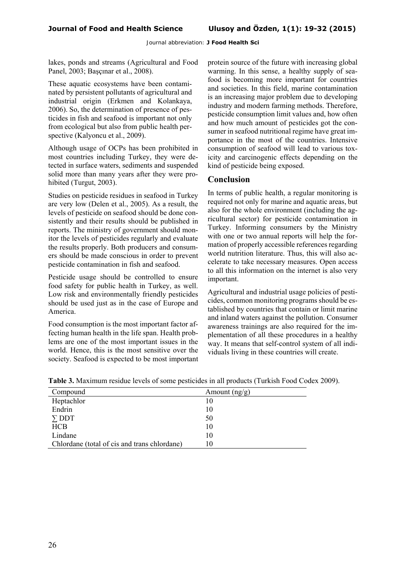lakes, ponds and streams (Agricultural and Food Panel, 2003; Başçınar et al., 2008).

These aquatic ecosystems have been contaminated by persistent pollutants of agricultural and industrial origin (Erkmen and Kolankaya, 2006). So, the determination of presence of pesticides in fish and seafood is important not only from ecological but also from public health perspective (Kalyoncu et al., 2009).

Although usage of OCPs has been prohibited in most countries including Turkey, they were detected in surface waters, sediments and suspended solid more than many years after they were prohibited (Turgut, 2003).

Studies on pesticide residues in seafood in Turkey are very low (Delen et al., 2005). As a result, the levels of pesticide on seafood should be done consistently and their results should be published in reports. The ministry of government should monitor the levels of pesticides regularly and evaluate the results properly. Both producers and consumers should be made conscious in order to prevent pesticide contamination in fish and seafood.

Pesticide usage should be controlled to ensure food safety for public health in Turkey, as well. Low risk and environmentally friendly pesticides should be used just as in the case of Europe and America.

Food consumption is the most important factor affecting human health in the life span. Health problems are one of the most important issues in the world. Hence, this is the most sensitive over the society. Seafood is expected to be most important protein source of the future with increasing global warming. In this sense, a healthy supply of seafood is becoming more important for countries and societies. In this field, marine contamination is an increasing major problem due to developing industry and modern farming methods. Therefore, pesticide consumption limit values and, how often and how much amount of pesticides got the consumer in seafood nutritional regime have great importance in the most of the countries. Intensive consumption of seafood will lead to various toxicity and carcinogenic effects depending on the kind of pesticide being exposed.

#### **Conclusion**

In terms of public health, a regular monitoring is required not only for marine and aquatic areas, but also for the whole environment (including the agricultural sector) for pesticide contamination in Turkey. Informing consumers by the Ministry with one or two annual reports will help the formation of properly accessible references regarding world nutrition literature. Thus, this will also accelerate to take necessary measures. Open access to all this information on the internet is also very important.

Agricultural and industrial usage policies of pesticides, common monitoring programs should be established by countries that contain or limit marine and inland waters against the pollution. Consumer awareness trainings are also required for the implementation of all these procedures in a healthy way. It means that self-control system of all individuals living in these countries will create.

| Compound                                     | Amount $(ng/g)$ |
|----------------------------------------------|-----------------|
| Heptachlor                                   | 10              |
| Endrin                                       | 10              |
| $\Sigma$ DDT                                 | 50              |
| <b>HCB</b>                                   | 10              |
| Lindane                                      | 10              |
| Chlordane (total of cis and trans chlordane) | 10              |

**Table 3.** Maximum residue levels of some pesticides in all products (Turkish Food Codex 2009).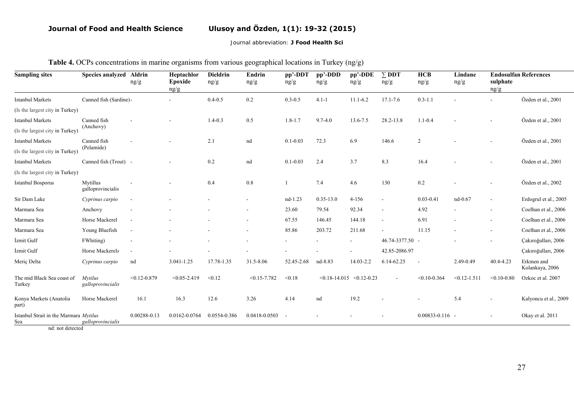#### Journal abbreviation: **J Food Health Sci**

**Table 4.** OCPs concentrations in marine organisms from various geographical locations in Turkey (ng/g)

| <b>Sampling sites</b>                                             | <b>Species analyzed</b>              | Aldrin<br>ng/g   | Heptachlor<br>Epoxide<br>ng/g | <b>Dieldrin</b><br>ng/g | <b>Endrin</b><br>ng/g | $pp'$ -DDT<br>ng/g | pp'-DDD<br>ng/g | $pp'$ - $\overline{DDE}$<br>ng/g  | $\Sigma$ DDT<br>ng/g | HCB<br>ng/g         | Lindane<br>ng/g  | sulphate<br>ng/g         | <b>Endosulfan References</b>  |
|-------------------------------------------------------------------|--------------------------------------|------------------|-------------------------------|-------------------------|-----------------------|--------------------|-----------------|-----------------------------------|----------------------|---------------------|------------------|--------------------------|-------------------------------|
| <b>Istanbul Markets</b>                                           | Canned fish (Sardine)-               |                  | $\sim$                        | $0.4 - 0.5$             | 0.2                   | $0.3 - 0.5$        | $4.1 - 1$       | $11.1 - 6.2$                      | $17.1 - 7.6$         | $0.3 - 1.1$         |                  |                          | Özden et al., 2001            |
| (Is the largest city in Turkey)                                   |                                      |                  |                               |                         |                       |                    |                 |                                   |                      |                     |                  |                          |                               |
| Istanbul Markets                                                  | Canned fish                          |                  |                               | $1.4 - 0.3$             | 0.5                   | $1.8 - 1.7$        | $9.7 - 4.0$     | 13.6-7.5                          | 28.2-13.8            | $1.1 - 0.4$         |                  |                          | Özden et al., 2001            |
| (Is the largest city in Turkey)                                   | (Anchovy)                            |                  |                               |                         |                       |                    |                 |                                   |                      |                     |                  |                          |                               |
| Istanbul Markets                                                  | Canned fish                          |                  |                               | 2.1                     | nd                    | $0.1 - 0.03$       | 72.3            | 6.9                               | 146.6                | 2                   |                  |                          | Özden et al., 2001            |
| (Is the largest city in Turkey)                                   | (Pelamide)                           |                  |                               |                         |                       |                    |                 |                                   |                      |                     |                  |                          |                               |
| Istanbul Markets                                                  | Canned fish (Trout) -                |                  |                               | 0.2                     | nd                    | $0.1 - 0.03$       | 2.4             | 3.7                               | 8.3                  | 16.4                |                  |                          | Özden et al., 2001            |
| (Is the largest city in Turkey)                                   |                                      |                  |                               |                         |                       |                    |                 |                                   |                      |                     |                  |                          |                               |
| Istanbul Bosporus                                                 | <b>Mytillus</b><br>galloprovincialis |                  |                               | 0.4                     | 0.8                   |                    | 7.4             | 4.6                               | 130                  | 0.2                 |                  |                          | Özden et al., 2002            |
| Sir Dam Lake                                                      | Cyprinus carpio                      |                  |                               |                         |                       | nd-1.23            | $0.35 - 13.0$   | $4 - 156$                         |                      | $0.03 - 0.41$       | nd-0.67          |                          | Erdogrul et al., 2005         |
| Marmara Sea                                                       | Anchovy                              |                  |                               |                         |                       | 23.60              | 79.54           | 92.34                             | $\blacksquare$       | 4.92                |                  |                          | Coelhan et al., 2006          |
| Marmara Sea                                                       | Horse Mackerel                       |                  |                               |                         |                       | 67.55              | 146.45          | 144.18                            |                      | 6.91                |                  |                          | Coelhan et al., 2006          |
| Marmara Sea                                                       | Young Bluefish                       |                  |                               |                         |                       | 85.86              | 203.72          | 211.68                            |                      | 11.15               |                  | $\overline{\phantom{a}}$ | Coelhan et al., 2006          |
| İzmit Gulf                                                        | FWhiting)                            |                  |                               |                         |                       |                    |                 |                                   | 46.74-3377.50        |                     |                  |                          | Çakıroğulları, 2006           |
| İzmit Gulf                                                        | Horse Mackerels                      | $\blacksquare$   |                               |                         |                       |                    |                 |                                   | 42.85-2086.97        |                     |                  |                          | Çakıroğulları, 2006           |
| Meriç Delta                                                       | Cyprinus carpio                      | nd               | $3.041 - 1.25$                | 17.78-1.35              | 31.5-8.06             | 52.45-2.68         | nd-8.83         | 14.03-2.2                         | 6.14-62.25           | $\sim$              | 2.49-0.49        | 40.4-4.23                | Erkmen and<br>Kolankaya, 2006 |
| The mid Black Sea coast of<br>Turkey                              | <b>Mytilus</b><br>galloprovincialis  | $< 0.12 - 0.879$ | $< 0.05 - 2.419$              | < 0.12                  | $< 0.15 - 7.782$      | < 0.18             |                 | $< 0.18 - 14.015$ $< 0.12 - 0.23$ |                      | $< 0.10 - 0.364$    | $< 0.12 - 1.511$ | $< 0.10 - 0.80$          | Ozkoc et al. 2007             |
| Konya Markets (Anatolia<br>part)                                  | Horse Mackerel                       | 16.1             | 16.3                          | 12.6                    | 3.26                  | 4.14               | nd              | 19.2                              |                      |                     | 5.4              |                          | Kalyoncu et al., 2009         |
| Istanbul Strait in the Marmara Mytilus<br>Sea<br>nd: not detected | galloprovincialis                    | 0.00288-0.13     | 0.0162-0.0764                 | 0.0554-0.386            | 0.0418-0.0503         | $\sim$             |                 |                                   |                      | $0.00833 - 0.116$ - |                  |                          | Okay et al. 2011              |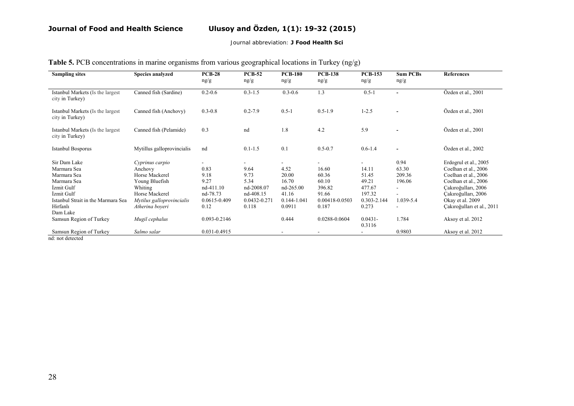#### Journal abbreviation: **J Food Health Sci**

| <b>Table 5.</b> PCB concentrations in marine organisms from various geographical locations in Turkey $(ng/g)$ |  |  |  |
|---------------------------------------------------------------------------------------------------------------|--|--|--|
|---------------------------------------------------------------------------------------------------------------|--|--|--|

| <b>Sampling sites</b>                                                                                                                                                          | <b>Species analyzed</b>                                                                                                                                       | <b>PCB-28</b><br>ng/g                                                                 | <b>PCB-52</b><br>ng/g                                                         | <b>PCB-180</b><br>ng/g                                                         | <b>PCB-138</b><br>ng/g                                                                 | <b>PCB-153</b><br>ng/g                                                            | <b>Sum PCBs</b><br>ng/g                                 | <b>References</b>                                                                                                                                                                                                  |
|--------------------------------------------------------------------------------------------------------------------------------------------------------------------------------|---------------------------------------------------------------------------------------------------------------------------------------------------------------|---------------------------------------------------------------------------------------|-------------------------------------------------------------------------------|--------------------------------------------------------------------------------|----------------------------------------------------------------------------------------|-----------------------------------------------------------------------------------|---------------------------------------------------------|--------------------------------------------------------------------------------------------------------------------------------------------------------------------------------------------------------------------|
| Istanbul Markets (Is the largest<br>city in Turkey)                                                                                                                            | Canned fish (Sardine)                                                                                                                                         | $0.2 - 0.6$                                                                           | $0.3 - 1.5$                                                                   | $0.3 - 0.6$                                                                    | 1.3                                                                                    | $0.5 - 1$                                                                         | $\overline{\phantom{0}}$                                | Özden et al., 2001                                                                                                                                                                                                 |
| Istanbul Markets (Is the largest<br>city in Turkey)                                                                                                                            | Canned fish (Anchovy)                                                                                                                                         | $0.3 - 0.8$                                                                           | $0.2 - 7.9$                                                                   | $0.5 - 1$                                                                      | $0.5 - 1.9$                                                                            | $1 - 2.5$                                                                         |                                                         | Özden et al., 2001                                                                                                                                                                                                 |
| Istanbul Markets (Is the largest<br>city in Turkey)                                                                                                                            | Canned fish (Pelamide)                                                                                                                                        | 0.3                                                                                   | nd                                                                            | 1.8                                                                            | 4.2                                                                                    | 5.9                                                                               |                                                         | Özden et al., 2001                                                                                                                                                                                                 |
| Istanbul Bosporus                                                                                                                                                              | Mytillus galloprovincialis                                                                                                                                    | nd                                                                                    | $0.1 - 1.5$                                                                   | 0.1                                                                            | $0.5 - 0.7$                                                                            | $0.6 - 1.4$                                                                       | $\overline{\phantom{0}}$                                | Özden et al., 2002                                                                                                                                                                                                 |
| Sir Dam Lake<br>Marmara Sea<br>Marmara Sea<br>Marmara Sea<br>İzmit Gulf<br>İzmit Gulf<br>Istanbul Strait in the Marmara Sea<br>Hirfanlı<br>Dam Lake<br>Samsun Region of Turkey | Cyprinus carpio<br>Anchovy<br>Horse Mackerel<br>Young Bluefish<br>Whiting<br>Horse Mackerel<br>Mytilus galloprovincialis<br>Atherina boveri<br>Mugil cephalus | 0.83<br>9.18<br>9.27<br>nd-411.10<br>nd-78.73<br>0.0615-0.409<br>0.12<br>0.093-0.2146 | ٠<br>9.64<br>9.73<br>5.34<br>nd-2008.07<br>nd-408.15<br>0.0432-0.271<br>0.118 | 4.52<br>20.00<br>16.70<br>nd-265.00<br>41.16<br>0.144-1.041<br>0.0911<br>0.444 | 16.60<br>60.36<br>60.10<br>396.82<br>91.66<br>0.00418-0.0503<br>0.187<br>0.0288-0.0604 | 14.11<br>51.45<br>49.21<br>477.67<br>197.32<br>0.303-2.144<br>0.273<br>$0.0431 -$ | 0.94<br>63.30<br>209.36<br>196.06<br>1.039-5.4<br>1.784 | Erdogrul et al., 2005<br>Coelhan et al., 2006<br>Coelhan et al., 2006<br>Coelhan et al., 2006<br>Çakıroğulları, 2006<br>Çakıroğulları, 2006<br>Okay et al. 2009<br>Cakıroğulları et al., 2011<br>Aksoy et al. 2012 |
| Samsun Region of Turkey                                                                                                                                                        | Salmo salar                                                                                                                                                   | 0.031-0.4915                                                                          |                                                                               |                                                                                |                                                                                        | 0.3116                                                                            | 0.9803                                                  | Aksoy et al. 2012                                                                                                                                                                                                  |

nd: not detected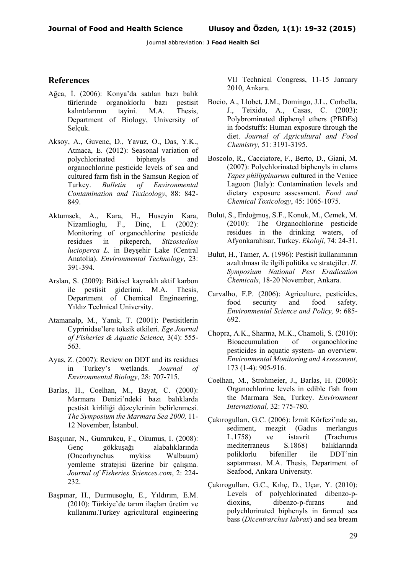#### **References**

- Ağca, İ. (2006): Konya'da satılan bazı balık türlerinde organoklorlu bazı pestisit kalıntılarının tayini. M.A. Thesis, Department of Biology, University of Selçuk.
- Aksoy, A., Guvenc, D., Yavuz, O., Das, Y.K., Atmaca, E. (2012): Seasonal variation of polychlorinated biphenyls and organochlorine pesticide levels of sea and cultured farm fish in the Samsun Region of Turkey. *Bulletin of Environmental Contamination and Toxicology*, 88: 842- 849.
- Aktumsek, A., Kara, H., Huseyin Kara, Nizamlioglu, F., Dinç, I. (2002): Monitoring of organochlorine pesticide residues in pikeperch, *Stizostedion lucioperca L.* in Beyşehir Lake (Central Anatolia). *Environmental Technology*, 23: 391-394.
- Arslan, S. (2009): Bitkisel kaynaklı aktif karbon ile pestisit giderimi. M.A. Thesis, Department of Chemical Engineering, Yıldız Technical University.
- Atamanalp, M., Yanık, T. (2001): Pestisitlerin Cyprinidae'lere toksik etkileri. *Ege Journal of Fisheries & Aquatic Science,* 3(4): 555- 563.
- Ayas, Z. (2007): Review on DDT and its residues in Turkey's wetlands. *Journal of Environmental Biology*, 28: 707-715.
- Barlas, H., Coelhan, M., Bayat, C. (2000): Marmara Denizi'ndeki bazı balıklarda pestisit kirliliği düzeylerinin belirlenmesi. *The Symposium the Marmara Sea 2000,* 11- 12 November, İstanbul.
- Başçınar, N., Gumrukcu, F., Okumus, I. (2008): Genç gökkuşağı alabalıklarında (Oncorhynchus mykiss Walbaum) yemleme stratejisi üzerine bir çalışma. *Journal of Fisheries Sciences.com*, 2: 224- 232.
- Başpınar, H., Durmusoglu, E., Yıldırım, E.M. (2010): Türkiye'de tarım ilaçları üretim ve kullanımı.Turkey agricultural engineering

VII Technical Congress, 11-15 January 2010, Ankara.

- Bocio, A., Llobet, J.M., Domingo, J.L., Corbella, J., Teixido, A., Casas, C. (2003): Polybrominated diphenyl ethers (PBDEs) in foodstuffs: Human exposure through the diet. *Journal of Agricultural and Food Chemistry,* 51: 3191-3195.
- Boscolo, R., Cacciatore, F., Berto, D., Giani, M. (2007): Polychlorinated biphenyls in clams *Tapes philippinarum* cultured in the Venice Lagoon (Italy): Contamination levels and dietary exposure assessment. *Food and Chemical Toxicology*, 45: 1065-1075.
- Bulut, S., Erdoğmuş, S.F., Konuk, M., Cemek, M. (2010): The Organochlorine pesticide residues in the drinking waters, of Afyonkarahisar, Turkey. *Ekoloji,* 74: 24-31.
- Bulut, H., Tamer, A. (1996): Pestisit kullanımının azaltılması ile ilgili politika ve stratejiler. *II. Symposium National Pest Eradication Chemicals*, 18-20 November, Ankara.
- Carvalho, F.P. (2006): Agriculture, pesticides, food security and food safety. *Environmental Science and Policy,* 9: 685- 692.
- Chopra, A.K., Sharma, M.K., Chamoli, S. (2010): Bioaccumulation of organochlorine pesticides in aquatic system- an overview*. Environmental Monitoring and Assessment,*  173 (1-4): 905-916.
- Coelhan, M., Strohmeier, J., Barlas, H. (2006): Organochlorine levels in edible fish from the Marmara Sea, Turkey. *Environment International,* 32: 775-780.
- Çakırogulları, G.C. (2006): İzmit Körfezi'nde su, sediment, mezgit (Gadus merlangus L.1758) ve istavrit (Trachurus mediterraneus S.1868) balıklarında poliklorlu bifeniller ile DDT'nin saptanması. M.A. Thesis, Department of Seafood, Ankara University.
- Çakırogulları, G.C., Kılıç, D., Uçar, Y. (2010): Levels of polychlorinated dibenzo-pdioxins, dibenzo-p-furans and polychlorinated biphenyls in farmed sea bass (*Dicentrarchus labrax*) and sea bream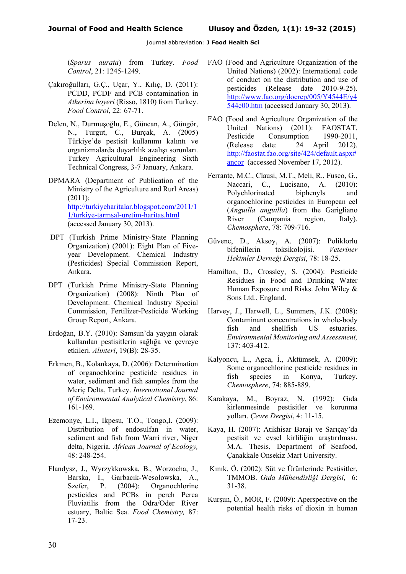Journal abbreviation: **J Food Health Sci** 

(*Sparus aurata*) from Turkey. *Food Control*, 21: 1245-1249.

- Çakıroğulları, G.Ç., Uçar, Y., Kılıç, D. (2011): PCDD, PCDF and PCB contamination in *Atherina boyeri* (Risso, 1810) from Turkey. *Food Control*, 22: 67-71.
- Delen, N., Durmuşoğlu, E., Güncan, A., Güngör, N., Turgut, C., Burçak, A. (2005) Türkiye'de pestisit kullanımı kalıntı ve organizmalarda duyarlılık azalışı sorunları. Turkey Agricultural Engineering Sixth Technical Congress, 3-7 January, Ankara.
- DPMARA (Department of Publication of the Ministry of the Agriculture and Rurl Areas)  $(2011)$ : http://turkiyeharitalar.blogspot.com/2011/1 1/turkiye-tarmsal-uretim-haritas.html (accessed January 30, 2013).
- DPT (Turkish Prime Ministry-State Planning Organization) (2001): Eight Plan of Fiveyear Development. Chemical Industry (Pesticides) Special Commission Report, Ankara.
- DPT (Turkish Prime Ministry-State Planning Organization) (2008): Ninth Plan of Development. Chemical Industry Special Commission, Fertilizer-Pesticide Working Group Report, Ankara.
- Erdoğan, B.Y. (2010): Samsun'da yaygın olarak kullanılan pestisitlerin sağlığa ve çevreye etkileri. *Alınteri*, 19(B): 28-35.
- Erkmen, B., Kolankaya, D. (2006): Determination of organochlorine pesticide residues in water, sediment and fish samples from the Meriç Delta, Turkey. *International Journal of Environmental Analytical Chemistry*, 86: 161-169.
- Ezemonye, L.I., Ikpesu, T.O., Tongo,I. (2009): Distribution of endosulfan in water, sediment and fish from Warri river, Niger delta, Nigeria. *African Journal of Ecology,* 48: 248-254.
- Flandysz, J., Wyrzykkowska, B., Worzocha, J., Barska, I., Garbacik-Wesolowska, A., Szefer, P. (2004): Organochlorine pesticides and PCBs in perch Perca Fluviatilis from the Odra/Oder River estuary, Baltic Sea. *Food Chemistry,* 87: 17-23.
- FAO (Food and Agriculture Organization of the United Nations) (2002): International code of conduct on the distribution and use of pesticides (Release date 2010-9-25). http://www.fao.org/docrep/005/Y4544E/y4 544e00.htm (accessed January 30, 2013).
- FAO (Food and Agriculture Organization of the United Nations) (2011): FAOSTAT. Pesticide Consumption 1990-2011, (Release date: 24 April 2012). http://faostat.fao.org/site/424/default.aspx# ancor (accessed November 17, 2012).
- Ferrante, M.C., Clausi, M.T., Meli, R., Fusco, G., Naccari, C., Lucisano, A. (2010): Polychlorinated biphenyls and organochlorine pesticides in European eel (*Anguilla anguilla*) from the Garigliano River (Campania region, Italy). *Chemosphere*, 78: 709-716.
- Güvenc, D., Aksoy, A. (2007): Poliklorlu bifenillerin toksikolojisi. *Veteriner Hekimler Derneği Dergisi*, 78: 18-25.
- Hamilton, D., Crossley, S. (2004): Pesticide Residues in Food and Drinking Water Human Exposure and Risks. John Wiley & Sons Ltd., England.
- Harvey, J., Harwell, L., Summers, J.K. (2008): Contaminant concentrations in whole-body fish and shellfish US estuaries*. Environmental Monitoring and Assessment,* 137: 403-412.
- Kalyoncu, L., Agca, İ., Aktümsek, A. (2009): Some organochlorine pesticide residues in fish species in Konya, Turkey. *Chemosphere*, 74: 885-889.
- Karakaya, M., Boyraz, N. (1992): Gıda kirlenmesinde pestisitler ve korunma yolları. *Çevre Dergisi*, 4: 11-15.
- Kaya, H. (2007): Atikhisar Barajı ve Sarıçay'da pestisit ve evsel kirliliğin araştırılması. M.A. Thesis, Department of Seafood, Çanakkale Onsekiz Mart University.
- Kınık, Ö. (2002): Süt ve Ürünlerinde Pestisitler, TMMOB. *Gıda Mühendisliği Dergisi*, 6: 31-38.
- Kurşun, Ö., MOR, F. (2009): Aperspective on the potential health risks of dioxin in human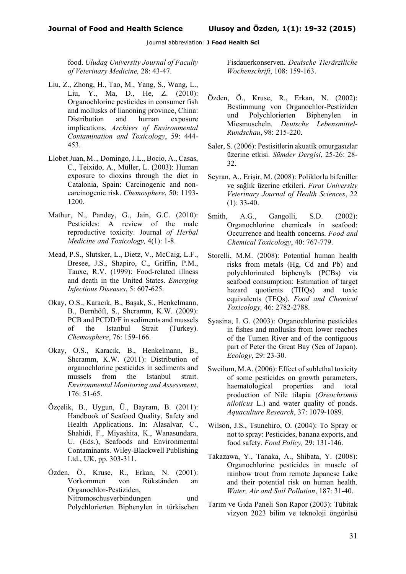food. *Uludag University Journal of Faculty of Veterinary Medicine,* 28: 43-47.

- Liu, Z., Zhong, H., Tao, M., Yang, S., Wang, L., Liu, Y., Ma, D., He, Z. (2010): Organochlorine pesticides in consumer fish and mollusks of lianoning province, China: Distribution and human exposure implications. *Archives of Environmental Contamination and Toxicology*, 59: 444- 453.
- Llobet Juan, M.., Domingo, J.L., Bocio, A., Casas, C., Teixido, A., Müller, L. (2003): Human exposure to dioxins through the diet in Catalonia, Spain: Carcinogenic and noncarcinogenic risk. *Chemosphere*, 50: 1193- 1200.
- Mathur, N., Pandey, G., Jain, G.C. (2010): Pesticides: A review of the male reproductive toxicity. Journal *of Herbal Medicine and Toxicology,* 4(1): 1-8.
- Mead, P.S., Slutsker, L., Dietz, V., McCaig, L.F., Bresee, J.S., Shapiro, C., Griffin, P.M., Tauxe, R.V. (1999): Food-related illness and death in the United States. *Emerging Infectious Diseases*, 5: 607-625.
- Okay, O.S., Karacık, B., Başak, S., Henkelmann, B., Bernhöft, S., Shcramm, K.W. (2009): PCB and PCDD/F in sediments and mussels of the Istanbul Strait (Turkey). *Chemosphere*, 76: 159-166.
- Okay, O.S., Karacık, B., Henkelmann, B., Shcramm, K.W. (2011): Distribution of organochlorine pesticides in sediments and mussels from the Istanbul strait. *Environmental Monitoring and Assessment*, 176: 51-65.
- Özçelik, B., Uygun, Ü., Bayram, B. (2011): Handbook of Seafood Quality, Safety and Health Applications. In: Alasalvar, C., Shahidi, F., Miyashita, K., Wanasundara, U. (Eds.), Seafoods and Environmental Contaminants. Wiley-Blackwell Publishing Ltd., UK, pp. 303-311.
- Özden, Ö., Kruse, R., Erkan, N. (2001): Vorkommen von Rükständen an Organochlor-Pestiziden, Nitromoschusverbindungen und Polychlorierten Biphenylen in türkischen

Fisdauerkonserven. *Deutsche Tierärztliche Wochenschrift*, 108: 159-163.

- Özden, Ö., Kruse, R., Erkan, N. (2002): Bestimmung von Organochlor-Pestiziden und Polychlorierten Biphenylen in Miesmuscheln*. Deutsche Lebensmittel-Rundschau*, 98: 215-220.
- Saler, S. (2006): Pestisitlerin akuatik omurgasızlar üzerine etkisi. *Sümder Dergisi*, 25-26: 28- 32.
- Seyran, A., Erişir, M. (2008): Poliklorlu bifeniller ve sağlık üzerine etkileri. *Fırat University Veterinary Journal of Health Sciences*, 22  $(1)$ : 33-40.
- Smith, A.G., Gangolli, S.D. (2002): Organochlorine chemicals in seafood: Occurrence and health concerns. *Food and Chemical Toxicology*, 40: 767-779.
- Storelli, M.M. (2008): Potential human health risks from metals (Hg, Cd and Pb) and polychlorinated biphenyls (PCBs) via seafood consumption: Estimation of target hazard quotients (THQs) and toxic equivalents (TEQs). *Food and Chemical Toxicology,* 46: 2782-2788.
- Syasina, I. G. (2003): Organochlorine pesticides in fishes and mollusks from lower reaches of the Tumen River and of the contiguous part of Peter the Great Bay (Sea of Japan). *Ecology*, 29: 23-30.
- Sweilum, M.A. (2006): Effect of sublethal toxicity of some pesticides on growth parameters, haematological properties and total production of Nile tilapia (*Oreochromis niloticus* L.) and water quality of ponds. *Aquaculture Research*, 37: 1079-1089.
- Wilson, J.S., Tsunehiro, O. (2004): To Spray or not to spray: Pesticides, banana exports, and food safety. *Food Policy,* 29: 131-146.
- Takazawa, Y., Tanaka, A., Shibata, Y. (2008): Organochlorine pesticides in muscle of rainbow trout from remote Japanese Lake and their potential risk on human health. *Water, Air and Soil Pollution*, 187: 31-40.
- Tarım ve Gıda Paneli Son Rapor (2003): Tübitak vizyon 2023 bilim ve teknoloji öngörüsü